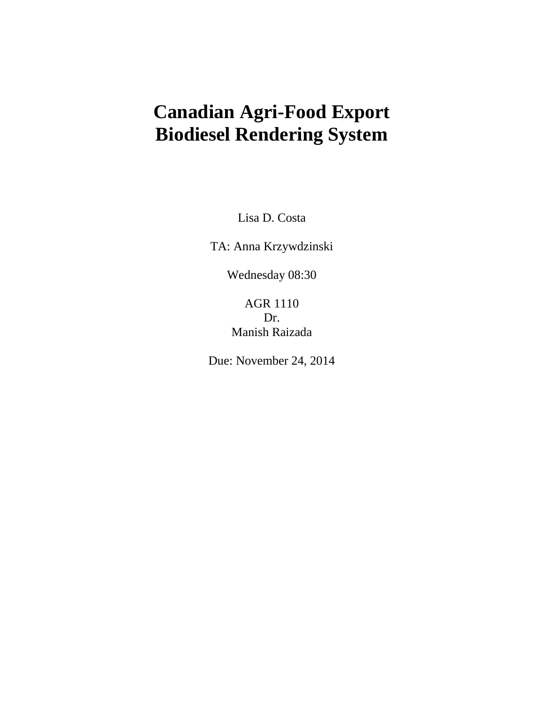## **Canadian Agri-Food Export Biodiesel Rendering System**

Lisa D. Costa

TA: Anna Krzywdzinski

Wednesday 08:30

## AGR 1110 Dr. Manish Raizada

Due: November 24, 2014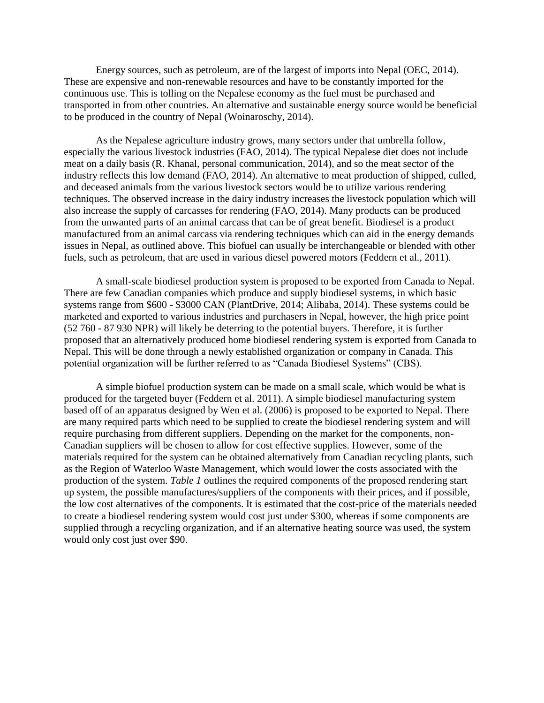Energy sources, such as petroleum, are of the largest of imports into Nepal (OEC, 2014). These are expensive and non-renewable resources and have to be constantly imported for the continuous use. This is tolling on the Nepalese economy as the fuel must be purchased and transported in from other countries. An alternative and sustainable energy source would be beneficial to be produced in the country of Nepal (Woinaroschy, 2014).

As the Nepalese agriculture industry grows, many sectors under that umbrella follow, especially the various livestock industries (FAO, 2014). The typical Nepalese diet does not include meat on a daily basis (R. Khanal, personal communication, 2014), and so the meat sector of the industry reflects this low demand (FAO, 2014). An alternative to meat production of shipped, culled, and deceased animals from the various livestock sectors would be to utilize various rendering techniques. The observed increase in the dairy industry increases the livestock population which will also increase the supply of carcasses for rendering (FAO, 2014). Many products can be produced from the unwanted parts of an animal carcass that can be of great benefit. Biodiesel is a product manufactured from an animal carcass via rendering techniques which can aid in the energy demands issues in Nepal, as outlined above. This biofuel can usually be interchangeable or blended with other fuels, such as petroleum, that are used in various diesel powered motors (Feddern et al*.,* 2011).

A small-scale biodiesel production system is proposed to be exported from Canada to Nepal. There are few Canadian companies which produce and supply biodiesel systems, in which basic systems range from \$600 - \$3000 CAN (PlantDrive, 2014; Alibaba, 2014). These systems could be marketed and exported to various industries and purchasers in Nepal, however, the high price point (52 760 - 87 930 NPR) will likely be deterring to the potential buyers. Therefore, it is further proposed that an alternatively produced home biodiesel rendering system is exported from Canada to Nepal. This will be done through a newly established organization or company in Canada. This potential organization will be further referred to as "Canada Biodiesel Systems" (CBS).

A simple biofuel production system can be made on a small scale, which would be what is produced for the targeted buyer (Feddern et al. 2011). A simple biodiesel manufacturing system based off of an apparatus designed by Wen et al. (2006) is proposed to be exported to Nepal. There are many required parts which need to be supplied to create the biodiesel rendering system and will require purchasing from different suppliers. Depending on the market for the components, non-Canadian suppliers will be chosen to allow for cost effective supplies. However, some of the materials required for the system can be obtained alternatively from Canadian recycling plants, such as the Region of Waterloo Waste Management, which would lower the costs associated with the production of the system. *Table 1* outlines the required components of the proposed rendering start up system, the possible manufactures/suppliers of the components with their prices, and if possible, the low cost alternatives of the components. It is estimated that the cost-price of the materials needed to create a biodiesel rendering system would cost just under \$300, whereas if some components are supplied through a recycling organization, and if an alternative heating source was used, the system would only cost just over \$90.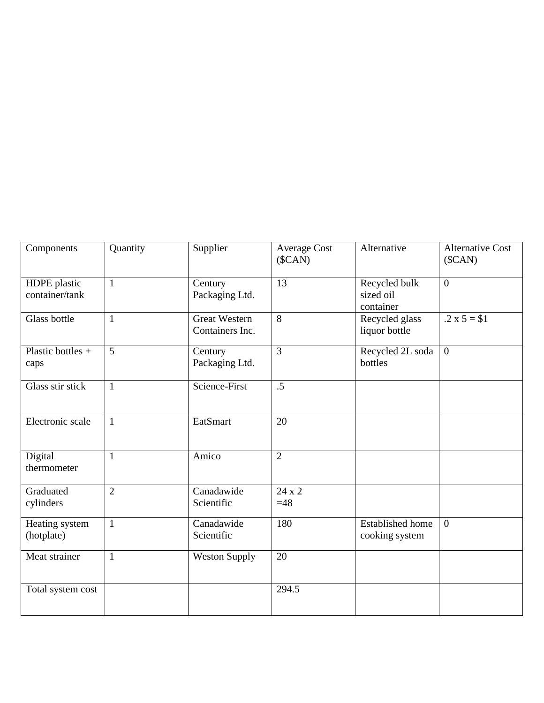| Components                     | Quantity       | Supplier                                | <b>Average Cost</b><br>$(\text{SCAN})$ | Alternative                               | <b>Alternative Cost</b><br>$(\text{SCAN})$ |
|--------------------------------|----------------|-----------------------------------------|----------------------------------------|-------------------------------------------|--------------------------------------------|
| HDPE plastic<br>container/tank | $\mathbf{1}$   | Century<br>Packaging Ltd.               | 13                                     | Recycled bulk<br>sized oil<br>container   | $\theta$                                   |
| Glass bottle                   | $\mathbf{1}$   | <b>Great Western</b><br>Containers Inc. | 8                                      | Recycled glass<br>liquor bottle           | $.2 \times 5 = $1$                         |
| Plastic bottles $+$<br>caps    | 5              | Century<br>Packaging Ltd.               | $\overline{3}$                         | Recycled 2L soda<br>bottles               | $\overline{0}$                             |
| Glass stir stick               | $\mathbf{1}$   | Science-First                           | .5                                     |                                           |                                            |
| Electronic scale               | $\mathbf{1}$   | EatSmart                                | 20                                     |                                           |                                            |
| Digital<br>thermometer         | $\mathbf{1}$   | Amico                                   | $\overline{2}$                         |                                           |                                            |
| Graduated<br>cylinders         | $\overline{2}$ | Canadawide<br>Scientific                | 24 x 2<br>$=48$                        |                                           |                                            |
| Heating system<br>(hotplate)   | $\mathbf{1}$   | Canadawide<br>Scientific                | 180                                    | <b>Established home</b><br>cooking system | $\theta$                                   |
| Meat strainer                  | $\mathbf{1}$   | <b>Weston Supply</b>                    | 20                                     |                                           |                                            |
| Total system cost              |                |                                         | 294.5                                  |                                           |                                            |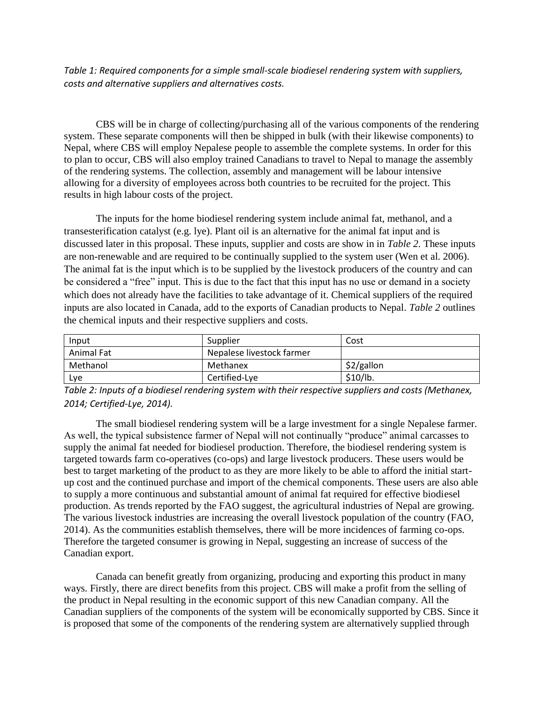*Table 1: Required components for a simple small-scale biodiesel rendering system with suppliers, costs and alternative suppliers and alternatives costs.*

CBS will be in charge of collecting/purchasing all of the various components of the rendering system. These separate components will then be shipped in bulk (with their likewise components) to Nepal, where CBS will employ Nepalese people to assemble the complete systems. In order for this to plan to occur, CBS will also employ trained Canadians to travel to Nepal to manage the assembly of the rendering systems. The collection, assembly and management will be labour intensive allowing for a diversity of employees across both countries to be recruited for the project. This results in high labour costs of the project.

The inputs for the home biodiesel rendering system include animal fat, methanol, and a transesterification catalyst (e.g. lye). Plant oil is an alternative for the animal fat input and is discussed later in this proposal. These inputs, supplier and costs are show in in *Table 2.* These inputs are non-renewable and are required to be continually supplied to the system user (Wen et al. 2006). The animal fat is the input which is to be supplied by the livestock producers of the country and can be considered a "free" input. This is due to the fact that this input has no use or demand in a society which does not already have the facilities to take advantage of it. Chemical suppliers of the required inputs are also located in Canada, add to the exports of Canadian products to Nepal. *Table 2* outlines the chemical inputs and their respective suppliers and costs.

| Input      | Supplier                  | Cost         |
|------------|---------------------------|--------------|
| Animal Fat | Nepalese livestock farmer |              |
| Methanol   | Methanex                  | $$2/g$ allon |
| Lve        | Certified-Lye             | \$10/lb.     |

*Table 2: Inputs of a biodiesel rendering system with their respective suppliers and costs (Methanex, 2014; Certified-Lye, 2014).*

The small biodiesel rendering system will be a large investment for a single Nepalese farmer. As well, the typical subsistence farmer of Nepal will not continually "produce" animal carcasses to supply the animal fat needed for biodiesel production. Therefore, the biodiesel rendering system is targeted towards farm co-operatives (co-ops) and large livestock producers. These users would be best to target marketing of the product to as they are more likely to be able to afford the initial startup cost and the continued purchase and import of the chemical components. These users are also able to supply a more continuous and substantial amount of animal fat required for effective biodiesel production. As trends reported by the FAO suggest, the agricultural industries of Nepal are growing. The various livestock industries are increasing the overall livestock population of the country (FAO, 2014). As the communities establish themselves, there will be more incidences of farming co-ops. Therefore the targeted consumer is growing in Nepal, suggesting an increase of success of the Canadian export.

Canada can benefit greatly from organizing, producing and exporting this product in many ways. Firstly, there are direct benefits from this project. CBS will make a profit from the selling of the product in Nepal resulting in the economic support of this new Canadian company. All the Canadian suppliers of the components of the system will be economically supported by CBS. Since it is proposed that some of the components of the rendering system are alternatively supplied through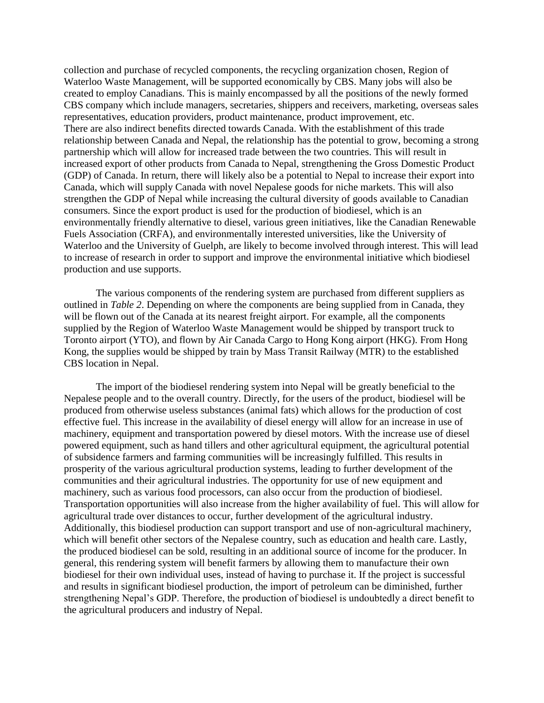collection and purchase of recycled components, the recycling organization chosen, Region of Waterloo Waste Management, will be supported economically by CBS. Many jobs will also be created to employ Canadians. This is mainly encompassed by all the positions of the newly formed CBS company which include managers, secretaries, shippers and receivers, marketing, overseas sales representatives, education providers, product maintenance, product improvement, etc. There are also indirect benefits directed towards Canada. With the establishment of this trade relationship between Canada and Nepal, the relationship has the potential to grow, becoming a strong partnership which will allow for increased trade between the two countries. This will result in increased export of other products from Canada to Nepal, strengthening the Gross Domestic Product (GDP) of Canada. In return, there will likely also be a potential to Nepal to increase their export into Canada, which will supply Canada with novel Nepalese goods for niche markets. This will also strengthen the GDP of Nepal while increasing the cultural diversity of goods available to Canadian consumers. Since the export product is used for the production of biodiesel, which is an environmentally friendly alternative to diesel, various green initiatives, like the Canadian Renewable Fuels Association (CRFA), and environmentally interested universities, like the University of Waterloo and the University of Guelph, are likely to become involved through interest. This will lead to increase of research in order to support and improve the environmental initiative which biodiesel production and use supports.

The various components of the rendering system are purchased from different suppliers as outlined in *Table 2*. Depending on where the components are being supplied from in Canada, they will be flown out of the Canada at its nearest freight airport. For example, all the components supplied by the Region of Waterloo Waste Management would be shipped by transport truck to Toronto airport (YTO), and flown by Air Canada Cargo to Hong Kong airport (HKG). From Hong Kong, the supplies would be shipped by train by Mass Transit Railway (MTR) to the established CBS location in Nepal.

The import of the biodiesel rendering system into Nepal will be greatly beneficial to the Nepalese people and to the overall country. Directly, for the users of the product, biodiesel will be produced from otherwise useless substances (animal fats) which allows for the production of cost effective fuel. This increase in the availability of diesel energy will allow for an increase in use of machinery, equipment and transportation powered by diesel motors. With the increase use of diesel powered equipment, such as hand tillers and other agricultural equipment, the agricultural potential of subsidence farmers and farming communities will be increasingly fulfilled. This results in prosperity of the various agricultural production systems, leading to further development of the communities and their agricultural industries. The opportunity for use of new equipment and machinery, such as various food processors, can also occur from the production of biodiesel. Transportation opportunities will also increase from the higher availability of fuel. This will allow for agricultural trade over distances to occur, further development of the agricultural industry. Additionally, this biodiesel production can support transport and use of non-agricultural machinery, which will benefit other sectors of the Nepalese country, such as education and health care. Lastly, the produced biodiesel can be sold, resulting in an additional source of income for the producer. In general, this rendering system will benefit farmers by allowing them to manufacture their own biodiesel for their own individual uses, instead of having to purchase it. If the project is successful and results in significant biodiesel production, the import of petroleum can be diminished, further strengthening Nepal's GDP. Therefore, the production of biodiesel is undoubtedly a direct benefit to the agricultural producers and industry of Nepal.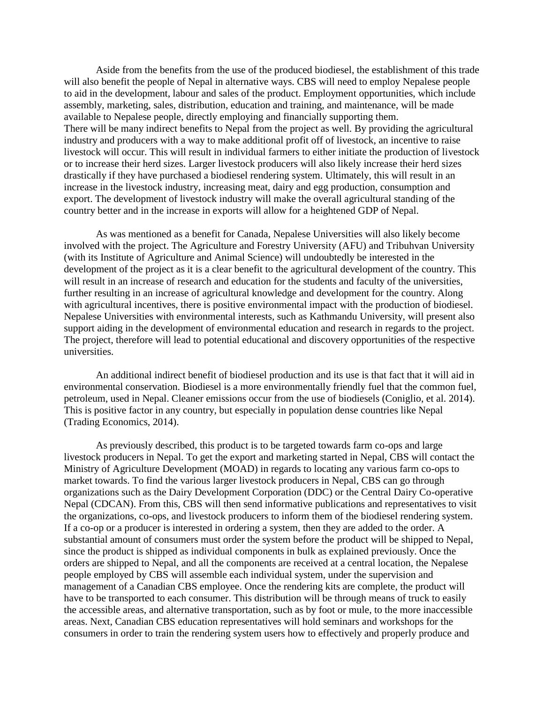Aside from the benefits from the use of the produced biodiesel, the establishment of this trade will also benefit the people of Nepal in alternative ways. CBS will need to employ Nepalese people to aid in the development, labour and sales of the product. Employment opportunities, which include assembly, marketing, sales, distribution, education and training, and maintenance, will be made available to Nepalese people, directly employing and financially supporting them. There will be many indirect benefits to Nepal from the project as well. By providing the agricultural industry and producers with a way to make additional profit off of livestock, an incentive to raise livestock will occur. This will result in individual farmers to either initiate the production of livestock or to increase their herd sizes. Larger livestock producers will also likely increase their herd sizes drastically if they have purchased a biodiesel rendering system. Ultimately, this will result in an increase in the livestock industry, increasing meat, dairy and egg production, consumption and export. The development of livestock industry will make the overall agricultural standing of the country better and in the increase in exports will allow for a heightened GDP of Nepal.

As was mentioned as a benefit for Canada, Nepalese Universities will also likely become involved with the project. The Agriculture and Forestry University (AFU) and Tribuhvan University (with its Institute of Agriculture and Animal Science) will undoubtedly be interested in the development of the project as it is a clear benefit to the agricultural development of the country. This will result in an increase of research and education for the students and faculty of the universities, further resulting in an increase of agricultural knowledge and development for the country. Along with agricultural incentives, there is positive environmental impact with the production of biodiesel. Nepalese Universities with environmental interests, such as Kathmandu University, will present also support aiding in the development of environmental education and research in regards to the project. The project, therefore will lead to potential educational and discovery opportunities of the respective universities.

An additional indirect benefit of biodiesel production and its use is that fact that it will aid in environmental conservation. Biodiesel is a more environmentally friendly fuel that the common fuel, petroleum, used in Nepal. Cleaner emissions occur from the use of biodiesels (Coniglio, et al. 2014). This is positive factor in any country, but especially in population dense countries like Nepal (Trading Economics, 2014).

As previously described, this product is to be targeted towards farm co-ops and large livestock producers in Nepal. To get the export and marketing started in Nepal, CBS will contact the Ministry of Agriculture Development (MOAD) in regards to locating any various farm co-ops to market towards. To find the various larger livestock producers in Nepal, CBS can go through organizations such as the Dairy Development Corporation (DDC) or the Central Dairy Co-operative Nepal (CDCAN). From this, CBS will then send informative publications and representatives to visit the organizations, co-ops, and livestock producers to inform them of the biodiesel rendering system. If a co-op or a producer is interested in ordering a system, then they are added to the order. A substantial amount of consumers must order the system before the product will be shipped to Nepal, since the product is shipped as individual components in bulk as explained previously. Once the orders are shipped to Nepal, and all the components are received at a central location, the Nepalese people employed by CBS will assemble each individual system, under the supervision and management of a Canadian CBS employee. Once the rendering kits are complete, the product will have to be transported to each consumer. This distribution will be through means of truck to easily the accessible areas, and alternative transportation, such as by foot or mule, to the more inaccessible areas. Next, Canadian CBS education representatives will hold seminars and workshops for the consumers in order to train the rendering system users how to effectively and properly produce and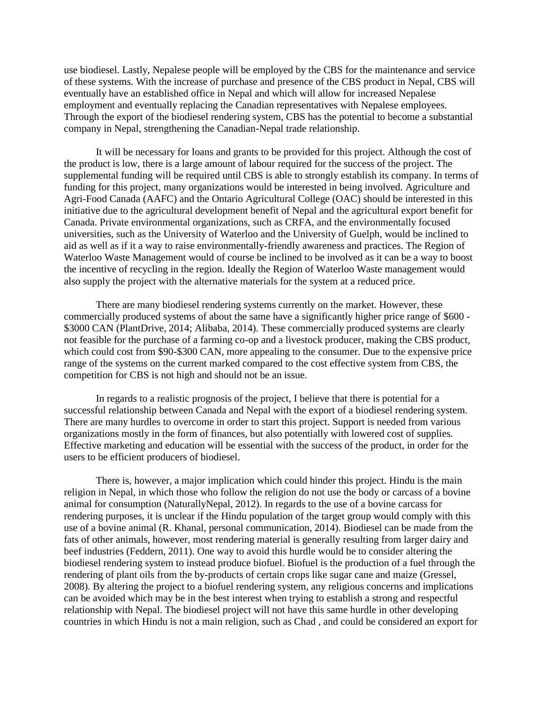use biodiesel. Lastly, Nepalese people will be employed by the CBS for the maintenance and service of these systems. With the increase of purchase and presence of the CBS product in Nepal, CBS will eventually have an established office in Nepal and which will allow for increased Nepalese employment and eventually replacing the Canadian representatives with Nepalese employees. Through the export of the biodiesel rendering system, CBS has the potential to become a substantial company in Nepal, strengthening the Canadian-Nepal trade relationship.

It will be necessary for loans and grants to be provided for this project. Although the cost of the product is low, there is a large amount of labour required for the success of the project. The supplemental funding will be required until CBS is able to strongly establish its company. In terms of funding for this project, many organizations would be interested in being involved. Agriculture and Agri-Food Canada (AAFC) and the Ontario Agricultural College (OAC) should be interested in this initiative due to the agricultural development benefit of Nepal and the agricultural export benefit for Canada. Private environmental organizations, such as CRFA, and the environmentally focused universities, such as the University of Waterloo and the University of Guelph, would be inclined to aid as well as if it a way to raise environmentally-friendly awareness and practices. The Region of Waterloo Waste Management would of course be inclined to be involved as it can be a way to boost the incentive of recycling in the region. Ideally the Region of Waterloo Waste management would also supply the project with the alternative materials for the system at a reduced price.

There are many biodiesel rendering systems currently on the market. However, these commercially produced systems of about the same have a significantly higher price range of \$600 - \$3000 CAN (PlantDrive, 2014; Alibaba, 2014). These commercially produced systems are clearly not feasible for the purchase of a farming co-op and a livestock producer, making the CBS product, which could cost from \$90-\$300 CAN, more appealing to the consumer. Due to the expensive price range of the systems on the current marked compared to the cost effective system from CBS, the competition for CBS is not high and should not be an issue.

In regards to a realistic prognosis of the project, I believe that there is potential for a successful relationship between Canada and Nepal with the export of a biodiesel rendering system. There are many hurdles to overcome in order to start this project. Support is needed from various organizations mostly in the form of finances, but also potentially with lowered cost of supplies. Effective marketing and education will be essential with the success of the product, in order for the users to be efficient producers of biodiesel.

There is, however, a major implication which could hinder this project. Hindu is the main religion in Nepal, in which those who follow the religion do not use the body or carcass of a bovine animal for consumption (NaturallyNepal, 2012). In regards to the use of a bovine carcass for rendering purposes, it is unclear if the Hindu population of the target group would comply with this use of a bovine animal (R. Khanal, personal communication, 2014). Biodiesel can be made from the fats of other animals, however, most rendering material is generally resulting from larger dairy and beef industries (Feddern, 2011). One way to avoid this hurdle would be to consider altering the biodiesel rendering system to instead produce biofuel. Biofuel is the production of a fuel through the rendering of plant oils from the by-products of certain crops like sugar cane and maize (Gressel, 2008). By altering the project to a biofuel rendering system, any religious concerns and implications can be avoided which may be in the best interest when trying to establish a strong and respectful relationship with Nepal. The biodiesel project will not have this same hurdle in other developing countries in which Hindu is not a main religion, such as Chad , and could be considered an export for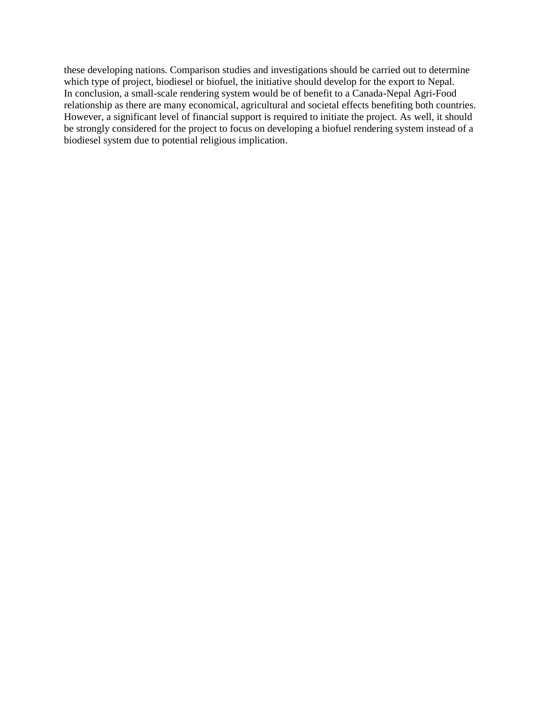these developing nations. Comparison studies and investigations should be carried out to determine which type of project, biodiesel or biofuel, the initiative should develop for the export to Nepal. In conclusion, a small-scale rendering system would be of benefit to a Canada-Nepal Agri-Food relationship as there are many economical, agricultural and societal effects benefiting both countries. However, a significant level of financial support is required to initiate the project. As well, it should be strongly considered for the project to focus on developing a biofuel rendering system instead of a biodiesel system due to potential religious implication.